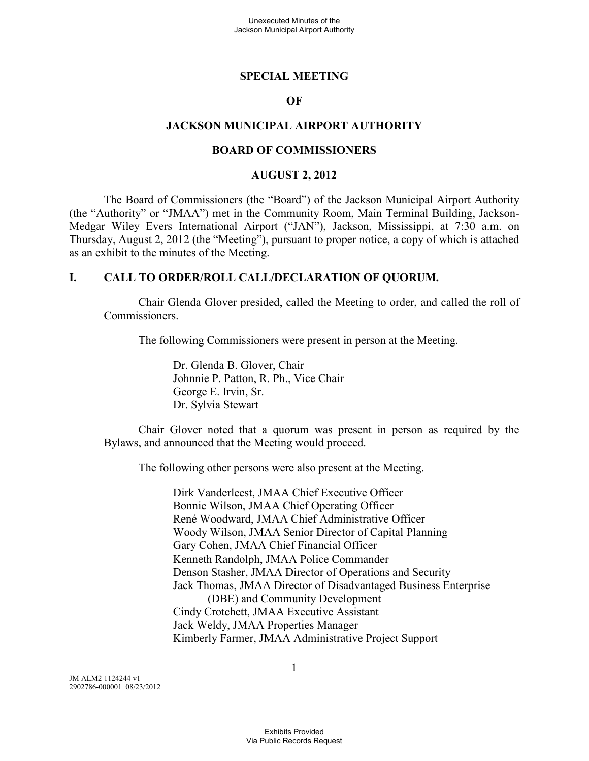#### **SPECIAL MEETING**

#### **OF**

#### **JACKSON MUNICIPAL AIRPORT AUTHORITY**

#### **BOARD OF COMMISSIONERS**

#### **AUGUST 2, 2012**

The Board of Commissioners (the "Board") of the Jackson Municipal Airport Authority (the "Authority" or "JMAA") met in the Community Room, Main Terminal Building, Jackson-Medgar Wiley Evers International Airport ("JAN"), Jackson, Mississippi, at 7:30 a.m. on Thursday, August 2, 2012 (the "Meeting"), pursuant to proper notice, a copy of which is attached as an exhibit to the minutes of the Meeting.

#### **I. CALL TO ORDER/ROLL CALL/DECLARATION OF QUORUM.**

Chair Glenda Glover presided, called the Meeting to order, and called the roll of Commissioners.

The following Commissioners were present in person at the Meeting.

Dr. Glenda B. Glover, Chair Johnnie P. Patton, R. Ph., Vice Chair George E. Irvin, Sr. Dr. Sylvia Stewart

Chair Glover noted that a quorum was present in person as required by the Bylaws, and announced that the Meeting would proceed.

The following other persons were also present at the Meeting.

Dirk Vanderleest, JMAA Chief Executive Officer Bonnie Wilson, JMAA Chief Operating Officer René Woodward, JMAA Chief Administrative Officer Woody Wilson, JMAA Senior Director of Capital Planning Gary Cohen, JMAA Chief Financial Officer Kenneth Randolph, JMAA Police Commander Denson Stasher, JMAA Director of Operations and Security Jack Thomas, JMAA Director of Disadvantaged Business Enterprise (DBE) and Community Development Cindy Crotchett, JMAA Executive Assistant Jack Weldy, JMAA Properties Manager Kimberly Farmer, JMAA Administrative Project Support

JM ALM2 1124244 v1 2902786-000001 08/23/2012 1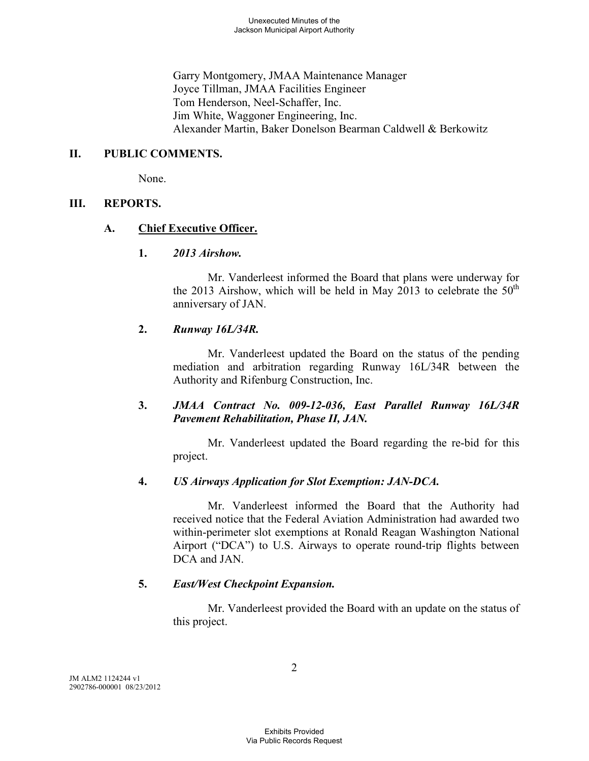Garry Montgomery, JMAA Maintenance Manager Joyce Tillman, JMAA Facilities Engineer Tom Henderson, Neel-Schaffer, Inc. Jim White, Waggoner Engineering, Inc. Alexander Martin, Baker Donelson Bearman Caldwell & Berkowitz

#### **II. PUBLIC COMMENTS.**

None.

#### **III. REPORTS.**

#### **A. Chief Executive Officer.**

#### **1.** *2013 Airshow.*

Mr. Vanderleest informed the Board that plans were underway for the 2013 Airshow, which will be held in May 2013 to celebrate the  $50<sup>th</sup>$ anniversary of JAN.

## **2.** *Runway 16L/34R.*

Mr. Vanderleest updated the Board on the status of the pending mediation and arbitration regarding Runway 16L/34R between the Authority and Rifenburg Construction, Inc.

## **3.** *JMAA Contract No. 009-12-036, East Parallel Runway 16L/34R Pavement Rehabilitation, Phase II, JAN.*

Mr. Vanderleest updated the Board regarding the re-bid for this project.

## **4.** *US Airways Application for Slot Exemption: JAN-DCA.*

Mr. Vanderleest informed the Board that the Authority had received notice that the Federal Aviation Administration had awarded two within-perimeter slot exemptions at Ronald Reagan Washington National Airport ("DCA") to U.S. Airways to operate round-trip flights between DCA and JAN

## **5.** *East/West Checkpoint Expansion.*

Mr. Vanderleest provided the Board with an update on the status of this project.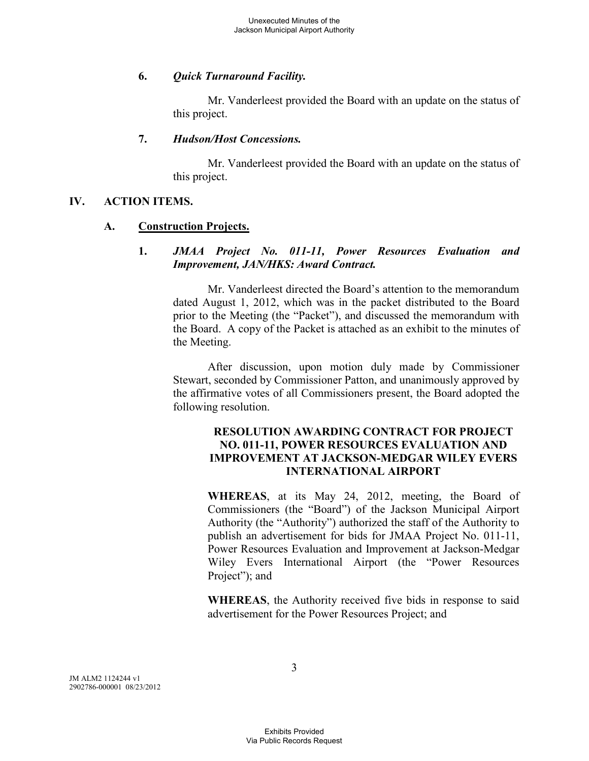## **6.** *Quick Turnaround Facility.*

Mr. Vanderleest provided the Board with an update on the status of this project.

## **7.** *Hudson/Host Concessions.*

Mr. Vanderleest provided the Board with an update on the status of this project.

## **IV. ACTION ITEMS.**

## **A. Construction Projects.**

#### **1.** *JMAA Project No. 011-11, Power Resources Evaluation and Improvement, JAN/HKS: Award Contract.*

Mr. Vanderleest directed the Board's attention to the memorandum dated August 1, 2012, which was in the packet distributed to the Board prior to the Meeting (the "Packet"), and discussed the memorandum with the Board. A copy of the Packet is attached as an exhibit to the minutes of the Meeting.

After discussion, upon motion duly made by Commissioner Stewart, seconded by Commissioner Patton, and unanimously approved by the affirmative votes of all Commissioners present, the Board adopted the following resolution.

#### **RESOLUTION AWARDING CONTRACT FOR PROJECT NO. 011-11, POWER RESOURCES EVALUATION AND IMPROVEMENT AT JACKSON-MEDGAR WILEY EVERS INTERNATIONAL AIRPORT**

**WHEREAS**, at its May 24, 2012, meeting, the Board of Commissioners (the "Board") of the Jackson Municipal Airport Authority (the "Authority") authorized the staff of the Authority to publish an advertisement for bids for JMAA Project No. 011-11, Power Resources Evaluation and Improvement at Jackson-Medgar Wiley Evers International Airport (the "Power Resources Project"); and

**WHEREAS**, the Authority received five bids in response to said advertisement for the Power Resources Project; and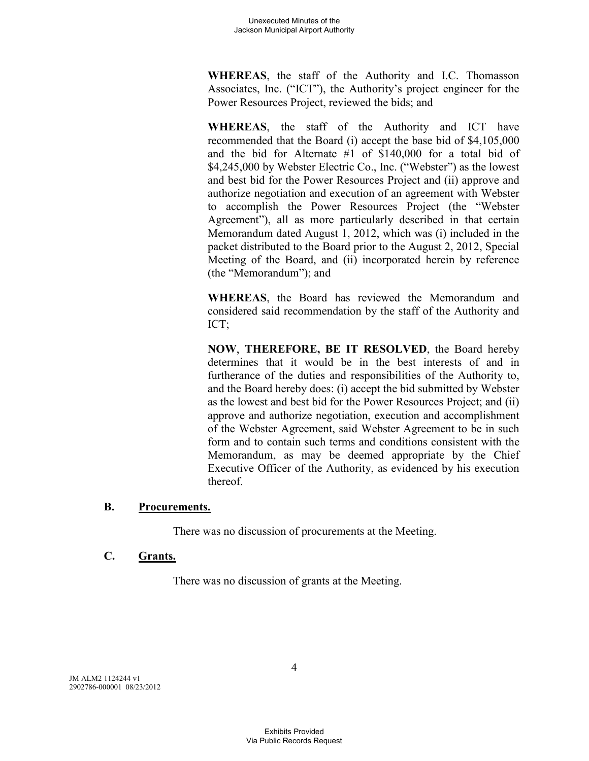**WHEREAS**, the staff of the Authority and I.C. Thomasson Associates, Inc. ("ICT"), the Authority's project engineer for the Power Resources Project, reviewed the bids; and

**WHEREAS**, the staff of the Authority and ICT have recommended that the Board (i) accept the base bid of \$4,105,000 and the bid for Alternate #1 of \$140,000 for a total bid of \$4,245,000 by Webster Electric Co., Inc. ("Webster") as the lowest and best bid for the Power Resources Project and (ii) approve and authorize negotiation and execution of an agreement with Webster to accomplish the Power Resources Project (the "Webster Agreement"), all as more particularly described in that certain Memorandum dated August 1, 2012, which was (i) included in the packet distributed to the Board prior to the August 2, 2012, Special Meeting of the Board, and (ii) incorporated herein by reference (the "Memorandum"); and

**WHEREAS**, the Board has reviewed the Memorandum and considered said recommendation by the staff of the Authority and ICT;

**NOW**, **THEREFORE, BE IT RESOLVED**, the Board hereby determines that it would be in the best interests of and in furtherance of the duties and responsibilities of the Authority to, and the Board hereby does: (i) accept the bid submitted by Webster as the lowest and best bid for the Power Resources Project; and (ii) approve and authorize negotiation, execution and accomplishment of the Webster Agreement, said Webster Agreement to be in such form and to contain such terms and conditions consistent with the Memorandum, as may be deemed appropriate by the Chief Executive Officer of the Authority, as evidenced by his execution thereof.

## **B. Procurements.**

There was no discussion of procurements at the Meeting.

## **C. Grants.**

There was no discussion of grants at the Meeting.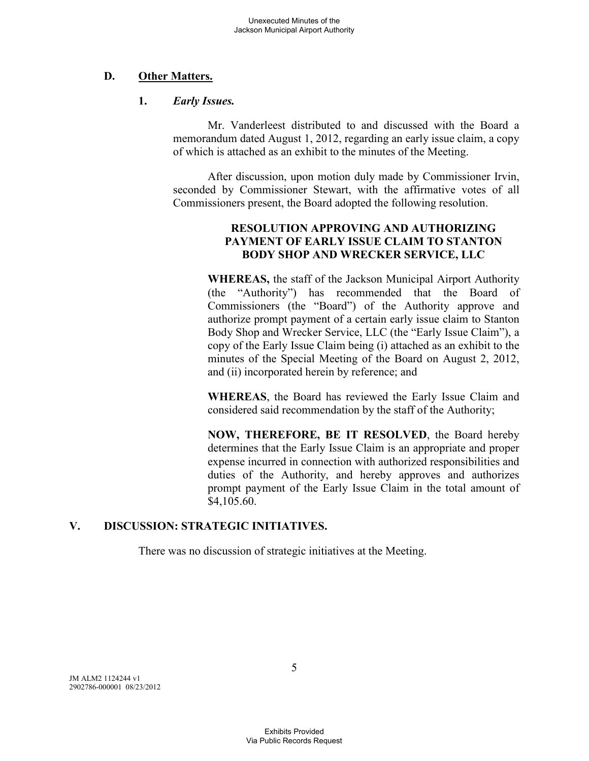## **D. Other Matters.**

#### **1.** *Early Issues.*

Mr. Vanderleest distributed to and discussed with the Board a memorandum dated August 1, 2012, regarding an early issue claim, a copy of which is attached as an exhibit to the minutes of the Meeting.

After discussion, upon motion duly made by Commissioner Irvin, seconded by Commissioner Stewart, with the affirmative votes of all Commissioners present, the Board adopted the following resolution.

## **RESOLUTION APPROVING AND AUTHORIZING PAYMENT OF EARLY ISSUE CLAIM TO STANTON BODY SHOP AND WRECKER SERVICE, LLC**

**WHEREAS,** the staff of the Jackson Municipal Airport Authority (the "Authority") has recommended that the Board of Commissioners (the "Board") of the Authority approve and authorize prompt payment of a certain early issue claim to Stanton Body Shop and Wrecker Service, LLC (the "Early Issue Claim"), a copy of the Early Issue Claim being (i) attached as an exhibit to the minutes of the Special Meeting of the Board on August 2, 2012, and (ii) incorporated herein by reference; and

**WHEREAS**, the Board has reviewed the Early Issue Claim and considered said recommendation by the staff of the Authority;

**NOW, THEREFORE, BE IT RESOLVED**, the Board hereby determines that the Early Issue Claim is an appropriate and proper expense incurred in connection with authorized responsibilities and duties of the Authority, and hereby approves and authorizes prompt payment of the Early Issue Claim in the total amount of \$4,105.60.

# **V. DISCUSSION: STRATEGIC INITIATIVES.**

There was no discussion of strategic initiatives at the Meeting.